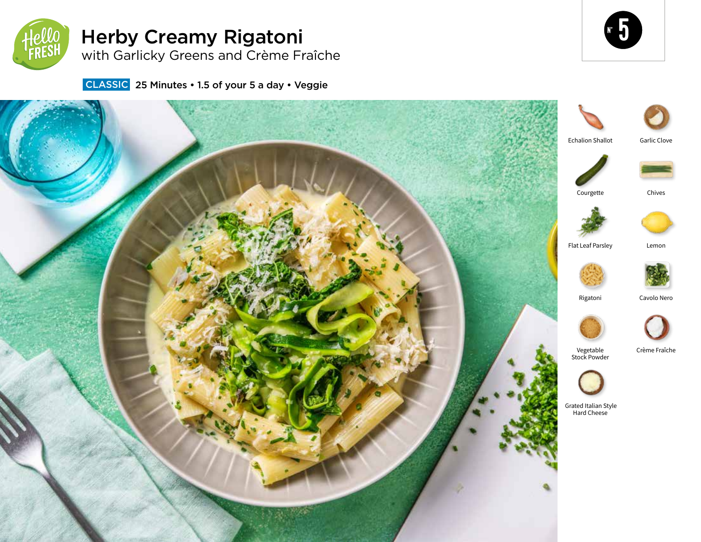

# Herby Creamy Rigatoni with Garlicky Greens and Crème Fraîche



**CLASSIC** 25 Minutes • 1.5 of your 5 a day • Veggie